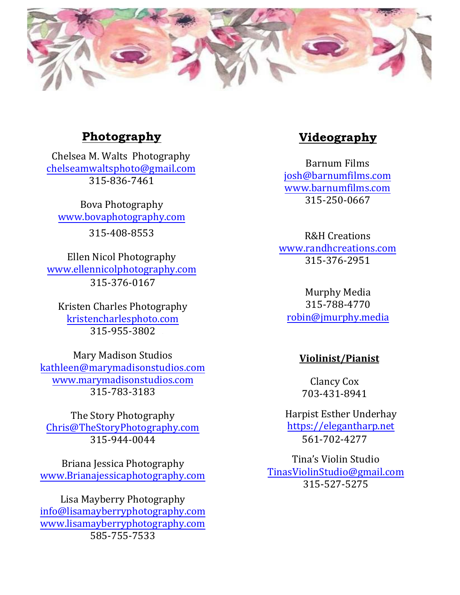

# **Photography**

Chelsea M. Walts Photography chelseamwaltsphoto@gmail.com 315-836-7461

Bova Photography www.bovaphotography.com

315-408-8553

Ellen Nicol Photography www.ellennicolphotography.com 315-376-0167

Kristen Charles Photography kristencharlesphoto.com 315-955-3802

Mary Madison Studios kathleen@marymadisonstudios.com www.marymadisonstudios.com 315-783-3183

The Story Photography Chris@TheStoryPhotography.com 315-944-0044

Briana Jessica Photography www.Brianajessicaphotography.com

Lisa Mayberry Photography info@lisamayberryphotography.com www.lisamayberryphotography.com 585-755-7533

# **Videography**

Barnum Films josh@barnumfilms.com www.barnumfilms.com 315-250-0667

R&H Creations www.randhcreations.com 315-376-2951

Murphy Media 315-788-4770 robin@jmurphy.media

### **Violinist/Pianist**

Clancy Cox 703-431-8941

Harpist Esther Underhay https://elegantharp.net 561-702-4277

Tina's Violin Studio TinasViolinStudio@gmail.com 315-527-5275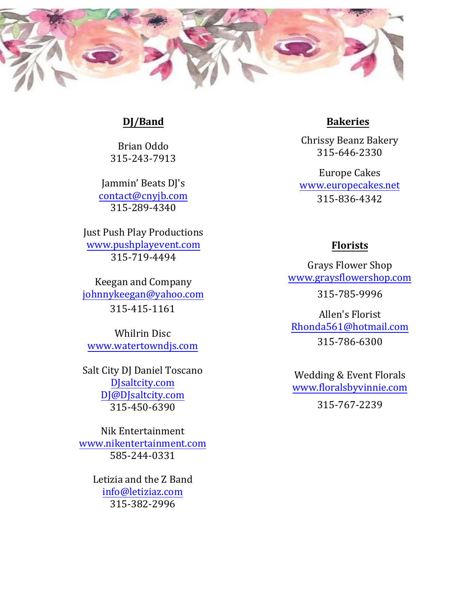

### **DJ/Band**

Brian Oddo 315-243-7913

Jammin' Beats DJ's contact@cnyjb.com 315-289-4340

Just Push Play Productions www.pushplayevent.com 315-719-4494

Keegan and Company johnnykeegan@yahoo.com 315-415-1161

Whilrin Disc www.watertowndjs.com

Salt City DJ Daniel Toscano DJsaltcity.com DJ@DJsaltcity.com 315-450-6390

Nik Entertainment www.nikentertainment.com 585-244-0331

> Letizia and the Z Band info@letiziaz.com 315-382-2996

# **Bakeries**

Chrissy Beanz Bakery 315-646-2330

Europe Cakes www.europecakes.net 315-836-4342

# **Florists**

Grays Flower Shop www.graysflowershop.com 315-785-9996

Allen's Florist Rhonda561@hotmail.com 315-786-6300

Wedding & Event Florals www.floralsbyvinnie.com

315-767-2239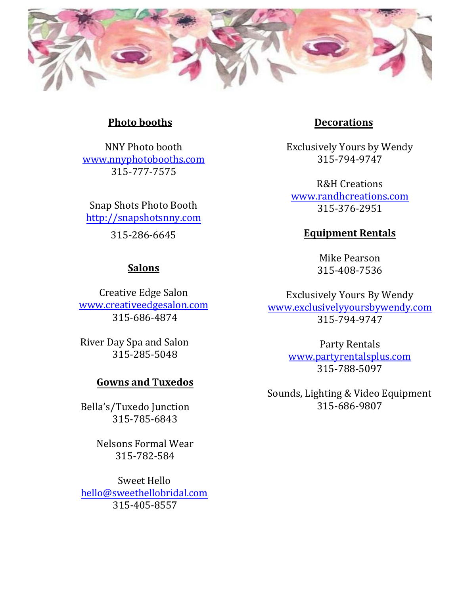

#### **Photo booths**

NNY Photo booth www.nnyphotobooths.com 315-777-7575

Snap Shots Photo Booth http://snapshotsnny.com

315-286-6645

# **Salons**

Creative Edge Salon www.creativeedgesalon.com 315-686-4874

River Day Spa and Salon 315-285-5048

#### **Gowns and Tuxedos**

Bella's/Tuxedo Junction 315-785-6843

> Nelsons Formal Wear 315-782-584

Sweet Hello hello@sweethellobridal.com 315-405-8557

# **Decorations**

Exclusively Yours by Wendy 315-794-9747

R&H Creations www.randhcreations.com 315-376-2951

# **Equipment Rentals**

Mike Pearson 315-408-7536

Exclusively Yours By Wendy www.exclusivelyyoursbywendy.com 315-794-9747

> Party Rentals www.partyrentalsplus.com 315-788-5097

Sounds, Lighting & Video Equipment 315-686-9807